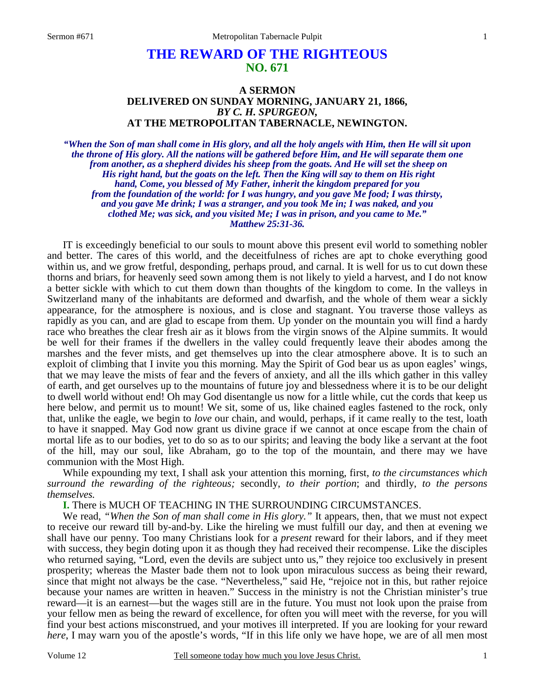## **THE REWARD OF THE RIGHTEOUS NO. 671**

## **A SERMON DELIVERED ON SUNDAY MORNING, JANUARY 21, 1866,**  *BY C. H. SPURGEON,*  **AT THE METROPOLITAN TABERNACLE, NEWINGTON.**

*"When the Son of man shall come in His glory, and all the holy angels with Him, then He will sit upon the throne of His glory. All the nations will be gathered before Him, and He will separate them one from another, as a shepherd divides his sheep from the goats. And He will set the sheep on His right hand, but the goats on the left. Then the King will say to them on His right hand, Come, you blessed of My Father, inherit the kingdom prepared for you from the foundation of the world: for I was hungry, and you gave Me food; I was thirsty, and you gave Me drink; I was a stranger, and you took Me in; I was naked, and you clothed Me; was sick, and you visited Me; I was in prison, and you came to Me." Matthew 25:31-36.* 

 IT is exceedingly beneficial to our souls to mount above this present evil world to something nobler and better. The cares of this world, and the deceitfulness of riches are apt to choke everything good within us, and we grow fretful, desponding, perhaps proud, and carnal. It is well for us to cut down these thorns and briars, for heavenly seed sown among them is not likely to yield a harvest, and I do not know a better sickle with which to cut them down than thoughts of the kingdom to come. In the valleys in Switzerland many of the inhabitants are deformed and dwarfish, and the whole of them wear a sickly appearance, for the atmosphere is noxious, and is close and stagnant. You traverse those valleys as rapidly as you can, and are glad to escape from them. Up yonder on the mountain you will find a hardy race who breathes the clear fresh air as it blows from the virgin snows of the Alpine summits. It would be well for their frames if the dwellers in the valley could frequently leave their abodes among the marshes and the fever mists, and get themselves up into the clear atmosphere above. It is to such an exploit of climbing that I invite you this morning. May the Spirit of God bear us as upon eagles' wings, that we may leave the mists of fear and the fevers of anxiety, and all the ills which gather in this valley of earth, and get ourselves up to the mountains of future joy and blessedness where it is to be our delight to dwell world without end! Oh may God disentangle us now for a little while, cut the cords that keep us here below, and permit us to mount! We sit, some of us, like chained eagles fastened to the rock, only that, unlike the eagle, we begin to *love* our chain, and would, perhaps, if it came really to the test, loath to have it snapped. May God now grant us divine grace if we cannot at once escape from the chain of mortal life as to our bodies, yet to do so as to our spirits; and leaving the body like a servant at the foot of the hill, may our soul, like Abraham, go to the top of the mountain, and there may we have communion with the Most High.

 While expounding my text, I shall ask your attention this morning, first, *to the circumstances which surround the rewarding of the righteous;* secondly, *to their portion*; and thirdly, *to the persons themselves.*

**I.** There is MUCH OF TEACHING IN THE SURROUNDING CIRCUMSTANCES.

 We read, *"When the Son of man shall come in His glory."* It appears, then, that we must not expect to receive our reward till by-and-by. Like the hireling we must fulfill our day, and then at evening we shall have our penny. Too many Christians look for a *present* reward for their labors, and if they meet with success, they begin doting upon it as though they had received their recompense. Like the disciples who returned saying, "Lord, even the devils are subject unto us," they rejoice too exclusively in present prosperity; whereas the Master bade them not to look upon miraculous success as being their reward, since that might not always be the case. "Nevertheless," said He, "rejoice not in this, but rather rejoice because your names are written in heaven." Success in the ministry is not the Christian minister's true reward—it is an earnest—but the wages still are in the future. You must not look upon the praise from your fellow men as being the reward of excellence, for often you will meet with the reverse, for you will find your best actions misconstrued, and your motives ill interpreted. If you are looking for your reward *here*, I may warn you of the apostle's words, "If in this life only we have hope, we are of all men most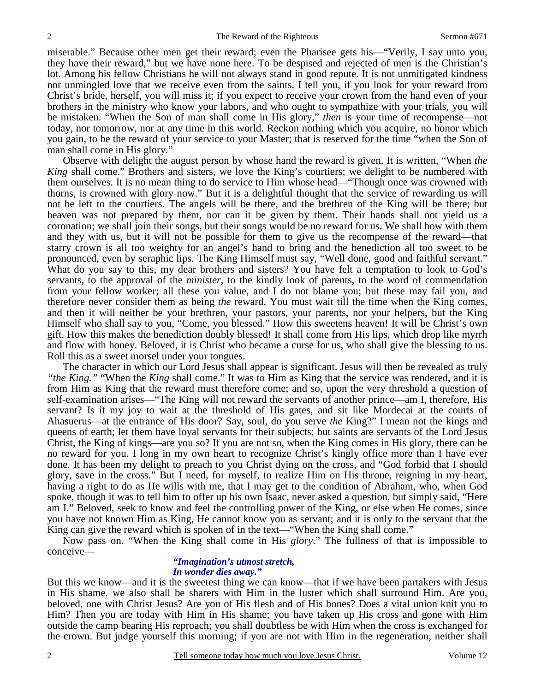miserable." Because other men get their reward; even the Pharisee gets his—"Verily, I say unto you, they have their reward," but we have none here. To be despised and rejected of men is the Christian's lot. Among his fellow Christians he will not always stand in good repute. It is not unmitigated kindness nor unmingled love that we receive even from the saints. I tell you, if you look for your reward from Christ's bride, herself, you will miss it; if you expect to receive your crown from the hand even of your brothers in the ministry who know your labors, and who ought to sympathize with your trials, you will be mistaken. "When the Son of man shall come in His glory," *then* is your time of recompense—not today, nor tomorrow, nor at any time in this world. Reckon nothing which you acquire, no honor which you gain, to be the reward of your service to your Master; that is reserved for the time "when the Son of man shall come in His glory."

 Observe with delight the august person by whose hand the reward is given. It is written, "When *the King* shall come." Brothers and sisters, we love the King's courtiers; we delight to be numbered with them ourselves. It is no mean thing to do service to Him whose head—"Though once was crowned with thorns, is crowned with glory now." But it is a delightful thought that the service of rewarding us will not be left to the courtiers. The angels will be there, and the brethren of the King will be there; but heaven was not prepared by them, nor can it be given by them. Their hands shall not yield us a coronation; we shall join their songs, but their songs would be no reward for us. We shall bow with them and they with us, but it will not be possible for them to give us the recompense of the reward—that starry crown is all too weighty for an angel's hand to bring and the benediction all too sweet to be pronounced, even by seraphic lips. The King Himself must say, "Well done, good and faithful servant." What do you say to this, my dear brothers and sisters? You have felt a temptation to look to God's servants, to the approval of the *minister*, to the kindly look of parents, to the word of commendation from your fellow worker; all these you value, and I do not blame you; but these may fail you, and therefore never consider them as being *the* reward. You must wait till the time when the King comes, and then it will neither be your brethren, your pastors, your parents, nor your helpers, but the King Himself who shall say to you, "Come, you blessed." How this sweetens heaven! It will be Christ's own gift. How this makes the benediction doubly blessed! It shall come from His lips, which drop like myrrh and flow with honey. Beloved, it is Christ who became a curse for us, who shall give the blessing to us. Roll this as a sweet morsel under your tongues.

 The character in which our Lord Jesus shall appear is significant. Jesus will then be revealed as truly *"the King."* "When the *King* shall come." It was to Him as King that the service was rendered, and it is from Him as King that the reward must therefore come; and so, upon the very threshold a question of self-examination arises—"The King will not reward the servants of another prince—am I, therefore, His servant? Is it my joy to wait at the threshold of His gates, and sit like Mordecai at the courts of Ahasuerus—at the entrance of His door? Say, soul, do you serve *the* King?" I mean not the kings and queens of earth; let them have loyal servants for their subjects; but saints are servants of the Lord Jesus Christ, the King of kings—are you so? If you are not so, when the King comes in His glory, there can be no reward for you. I long in my own heart to recognize Christ's kingly office more than I have ever done. It has been my delight to preach to you Christ dying on the cross, and "God forbid that I should glory, save in the cross." But I need, for myself, to realize Him on His throne, reigning in my heart, having a right to do as He wills with me, that I may get to the condition of Abraham, who, when God spoke, though it was to tell him to offer up his own Isaac, never asked a question, but simply said, "Here am I." Beloved, seek to know and feel the controlling power of the King, or else when He comes, since you have not known Him as King, He cannot know you as servant; and it is only to the servant that the King can give the reward which is spoken of in the text—"When the King shall come."

 Now pass on. "When the King shall come in His *glory*." The fullness of that is impossible to conceive—

## *"Imagination's utmost stretch, In wonder dies away."*

But this we know—and it is the sweetest thing we can know—that if we have been partakers with Jesus in His shame, we also shall be sharers with Him in the luster which shall surround Him. Are you, beloved, one with Christ Jesus? Are you of His flesh and of His bones? Does a vital union knit you to Him? Then you are today with Him in His shame; you have taken up His cross and gone with Him outside the camp bearing His reproach; you shall doubtless be with Him when the cross is exchanged for the crown. But judge yourself this morning; if you are not with Him in the regeneration, neither shall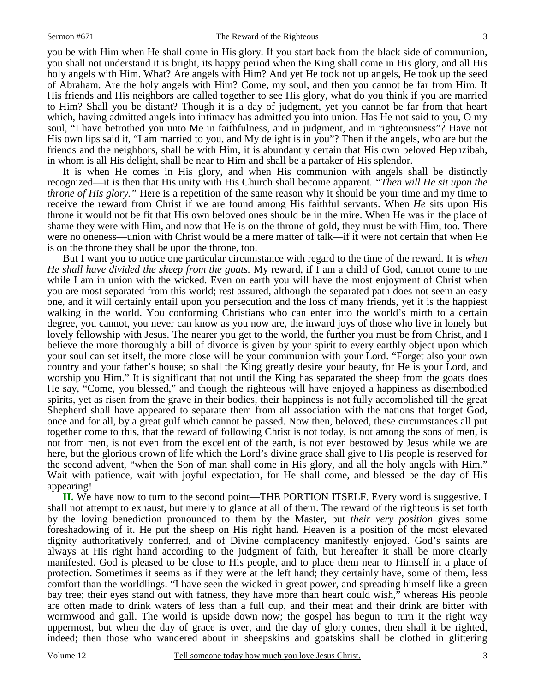you be with Him when He shall come in His glory. If you start back from the black side of communion, you shall not understand it is bright, its happy period when the King shall come in His glory, and all His holy angels with Him. What? Are angels with Him? And yet He took not up angels, He took up the seed of Abraham. Are the holy angels with Him? Come, my soul, and then you cannot be far from Him. If His friends and His neighbors are called together to see His glory, what do you think if you are married to Him? Shall you be distant? Though it is a day of judgment, yet you cannot be far from that heart which, having admitted angels into intimacy has admitted you into union. Has He not said to you, O my soul, "I have betrothed you unto Me in faithfulness, and in judgment, and in righteousness"? Have not His own lips said it, "I am married to you, and My delight is in you"? Then if the angels, who are but the friends and the neighbors, shall be with Him, it is abundantly certain that His own beloved Hephzibah, in whom is all His delight, shall be near to Him and shall be a partaker of His splendor.

 It is when He comes in His glory, and when His communion with angels shall be distinctly recognized—it is then that His unity with His Church shall become apparent. *"Then will He sit upon the throne of His glory.*" Here is a repetition of the same reason why it should be your time and my time to receive the reward from Christ if we are found among His faithful servants. When *He* sits upon His throne it would not be fit that His own beloved ones should be in the mire. When He was in the place of shame they were with Him, and now that He is on the throne of gold, they must be with Him, too. There were no oneness—union with Christ would be a mere matter of talk—if it were not certain that when He is on the throne they shall be upon the throne, too.

 But I want you to notice one particular circumstance with regard to the time of the reward. It is *when He shall have divided the sheep from the goats.* My reward, if I am a child of God, cannot come to me while I am in union with the wicked. Even on earth you will have the most enjoyment of Christ when you are most separated from this world; rest assured, although the separated path does not seem an easy one, and it will certainly entail upon you persecution and the loss of many friends, yet it is the happiest walking in the world. You conforming Christians who can enter into the world's mirth to a certain degree, you cannot, you never can know as you now are, the inward joys of those who live in lonely but lovely fellowship with Jesus. The nearer you get to the world, the further you must be from Christ, and I believe the more thoroughly a bill of divorce is given by your spirit to every earthly object upon which your soul can set itself, the more close will be your communion with your Lord. "Forget also your own country and your father's house; so shall the King greatly desire your beauty, for He is your Lord, and worship you Him." It is significant that not until the King has separated the sheep from the goats does He say, "Come, you blessed," and though the righteous will have enjoyed a happiness as disembodied spirits, yet as risen from the grave in their bodies, their happiness is not fully accomplished till the great Shepherd shall have appeared to separate them from all association with the nations that forget God, once and for all, by a great gulf which cannot be passed. Now then, beloved, these circumstances all put together come to this, that the reward of following Christ is not today, is not among the sons of men, is not from men, is not even from the excellent of the earth, is not even bestowed by Jesus while we are here, but the glorious crown of life which the Lord's divine grace shall give to His people is reserved for the second advent, "when the Son of man shall come in His glory, and all the holy angels with Him." Wait with patience, wait with joyful expectation, for He shall come, and blessed be the day of His appearing!

**II.** We have now to turn to the second point—THE PORTION ITSELF. Every word is suggestive. I shall not attempt to exhaust, but merely to glance at all of them. The reward of the righteous is set forth by the loving benediction pronounced to them by the Master, but *their very position* gives some foreshadowing of it. He put the sheep on His right hand. Heaven is a position of the most elevated dignity authoritatively conferred, and of Divine complacency manifestly enjoyed. God's saints are always at His right hand according to the judgment of faith, but hereafter it shall be more clearly manifested. God is pleased to be close to His people, and to place them near to Himself in a place of protection. Sometimes it seems as if they were at the left hand; they certainly have, some of them, less comfort than the worldlings. "I have seen the wicked in great power, and spreading himself like a green bay tree; their eyes stand out with fatness, they have more than heart could wish," whereas His people are often made to drink waters of less than a full cup, and their meat and their drink are bitter with wormwood and gall. The world is upside down now; the gospel has begun to turn it the right way uppermost, but when the day of grace is over, and the day of glory comes, then shall it be righted, indeed; then those who wandered about in sheepskins and goatskins shall be clothed in glittering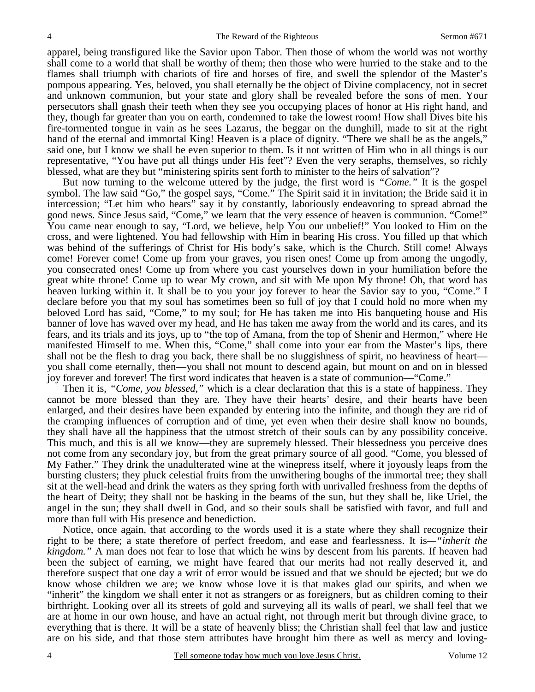apparel, being transfigured like the Savior upon Tabor. Then those of whom the world was not worthy shall come to a world that shall be worthy of them; then those who were hurried to the stake and to the flames shall triumph with chariots of fire and horses of fire, and swell the splendor of the Master's pompous appearing. Yes, beloved, you shall eternally be the object of Divine complacency, not in secret and unknown communion, but your state and glory shall be revealed before the sons of men. Your persecutors shall gnash their teeth when they see you occupying places of honor at His right hand, and they, though far greater than you on earth, condemned to take the lowest room! How shall Dives bite his fire-tormented tongue in vain as he sees Lazarus, the beggar on the dunghill, made to sit at the right hand of the eternal and immortal King! Heaven is a place of dignity. "There we shall be as the angels," said one, but I know we shall be even superior to them. Is it not written of Him who in all things is our representative, "You have put all things under His feet"? Even the very seraphs, themselves, so richly blessed, what are they but "ministering spirits sent forth to minister to the heirs of salvation"?

 But now turning to the welcome uttered by the judge, the first word is *"Come."* It is the gospel symbol. The law said "Go," the gospel says, "Come." The Spirit said it in invitation; the Bride said it in intercession; "Let him who hears" say it by constantly, laboriously endeavoring to spread abroad the good news. Since Jesus said, "Come," we learn that the very essence of heaven is communion. "Come!" You came near enough to say, "Lord, we believe, help You our unbelief!" You looked to Him on the cross, and were lightened. You had fellowship with Him in bearing His cross. You filled up that which was behind of the sufferings of Christ for His body's sake, which is the Church. Still come! Always come! Forever come! Come up from your graves, you risen ones! Come up from among the ungodly, you consecrated ones! Come up from where you cast yourselves down in your humiliation before the great white throne! Come up to wear My crown, and sit with Me upon My throne! Oh, that word has heaven lurking within it. It shall be to you your joy forever to hear the Savior say to you, "Come." I declare before you that my soul has sometimes been so full of joy that I could hold no more when my beloved Lord has said, "Come," to my soul; for He has taken me into His banqueting house and His banner of love has waved over my head, and He has taken me away from the world and its cares, and its fears, and its trials and its joys, up to "the top of Amana, from the top of Shenir and Hermon," where He manifested Himself to me. When this, "Come," shall come into your ear from the Master's lips, there shall not be the flesh to drag you back, there shall be no sluggishness of spirit, no heaviness of heart you shall come eternally, then—you shall not mount to descend again, but mount on and on in blessed joy forever and forever! The first word indicates that heaven is a state of communion—"Come."

 Then it is, *"Come, you blessed,"* which is a clear declaration that this is a state of happiness. They cannot be more blessed than they are. They have their hearts' desire, and their hearts have been enlarged, and their desires have been expanded by entering into the infinite, and though they are rid of the cramping influences of corruption and of time, yet even when their desire shall know no bounds, they shall have all the happiness that the utmost stretch of their souls can by any possibility conceive. This much, and this is all we know—they are supremely blessed. Their blessedness you perceive does not come from any secondary joy, but from the great primary source of all good. "Come, you blessed of My Father." They drink the unadulterated wine at the winepress itself, where it joyously leaps from the bursting clusters; they pluck celestial fruits from the unwithering boughs of the immortal tree; they shall sit at the well-head and drink the waters as they spring forth with unrivalled freshness from the depths of the heart of Deity; they shall not be basking in the beams of the sun, but they shall be, like Uriel, the angel in the sun; they shall dwell in God, and so their souls shall be satisfied with favor, and full and more than full with His presence and benediction.

 Notice, once again, that according to the words used it is a state where they shall recognize their right to be there; a state therefore of perfect freedom, and ease and fearlessness. It is*—"inherit the kingdom."* A man does not fear to lose that which he wins by descent from his parents. If heaven had been the subject of earning, we might have feared that our merits had not really deserved it, and therefore suspect that one day a writ of error would be issued and that we should be ejected; but we do know whose children we are; we know whose love it is that makes glad our spirits, and when we "inherit" the kingdom we shall enter it not as strangers or as foreigners, but as children coming to their birthright. Looking over all its streets of gold and surveying all its walls of pearl, we shall feel that we are at home in our own house, and have an actual right, not through merit but through divine grace, to everything that is there. It will be a state of heavenly bliss; the Christian shall feel that law and justice are on his side, and that those stern attributes have brought him there as well as mercy and loving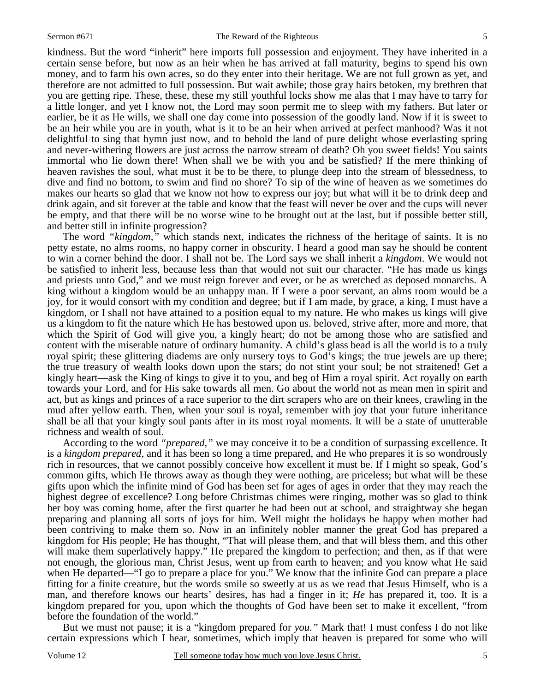kindness. But the word "inherit" here imports full possession and enjoyment. They have inherited in a certain sense before, but now as an heir when he has arrived at fall maturity, begins to spend his own money, and to farm his own acres, so do they enter into their heritage. We are not full grown as yet, and therefore are not admitted to full possession. But wait awhile; those gray hairs betoken, my brethren that you are getting ripe. These, these, these my still youthful locks show me alas that I may have to tarry for a little longer, and yet I know not, the Lord may soon permit me to sleep with my fathers. But later or earlier, be it as He wills, we shall one day come into possession of the goodly land. Now if it is sweet to be an heir while you are in youth, what is it to be an heir when arrived at perfect manhood? Was it not delightful to sing that hymn just now, and to behold the land of pure delight whose everlasting spring and never-withering flowers are just across the narrow stream of death? Oh you sweet fields! You saints immortal who lie down there! When shall we be with you and be satisfied? If the mere thinking of heaven ravishes the soul, what must it be to be there, to plunge deep into the stream of blessedness, to dive and find no bottom, to swim and find no shore? To sip of the wine of heaven as we sometimes do makes our hearts so glad that we know not how to express our joy; but what will it be to drink deep and drink again, and sit forever at the table and know that the feast will never be over and the cups will never be empty, and that there will be no worse wine to be brought out at the last, but if possible better still, and better still in infinite progression?

 The word *"kingdom,"* which stands next, indicates the richness of the heritage of saints. It is no petty estate, no alms rooms, no happy corner in obscurity. I heard a good man say he should be content to win a corner behind the door. I shall not be. The Lord says we shall inherit a *kingdom*. We would not be satisfied to inherit less, because less than that would not suit our character. "He has made us kings and priests unto God," and we must reign forever and ever, or be as wretched as deposed monarchs. A king without a kingdom would be an unhappy man. If I were a poor servant, an alms room would be a joy, for it would consort with my condition and degree; but if I am made, by grace, a king, I must have a kingdom, or I shall not have attained to a position equal to my nature. He who makes us kings will give us a kingdom to fit the nature which He has bestowed upon us. beloved, strive after, more and more, that which the Spirit of God will give you, a kingly heart; do not be among those who are satisfied and content with the miserable nature of ordinary humanity. A child's glass bead is all the world is to a truly royal spirit; these glittering diadems are only nursery toys to God's kings; the true jewels are up there; the true treasury of wealth looks down upon the stars; do not stint your soul; be not straitened! Get a kingly heart—ask the King of kings to give it to you, and beg of Him a royal spirit. Act royally on earth towards your Lord, and for His sake towards all men. Go about the world not as mean men in spirit and act, but as kings and princes of a race superior to the dirt scrapers who are on their knees, crawling in the mud after yellow earth. Then, when your soul is royal, remember with joy that your future inheritance shall be all that your kingly soul pants after in its most royal moments. It will be a state of unutterable richness and wealth of soul.

 According to the word *"prepared,"* we may conceive it to be a condition of surpassing excellence. It is a *kingdom prepared,* and it has been so long a time prepared, and He who prepares it is so wondrously rich in resources, that we cannot possibly conceive how excellent it must be. If I might so speak, God's common gifts, which He throws away as though they were nothing, are priceless; but what will be these gifts upon which the infinite mind of God has been set for ages of ages in order that they may reach the highest degree of excellence? Long before Christmas chimes were ringing, mother was so glad to think her boy was coming home, after the first quarter he had been out at school, and straightway she began preparing and planning all sorts of joys for him. Well might the holidays be happy when mother had been contriving to make them so. Now in an infinitely nobler manner the great God has prepared a kingdom for His people; He has thought, "That will please them, and that will bless them, and this other will make them superlatively happy." He prepared the kingdom to perfection; and then, as if that were not enough, the glorious man, Christ Jesus, went up from earth to heaven; and you know what He said when He departed—"I go to prepare a place for you." We know that the infinite God can prepare a place fitting for a finite creature, but the words smile so sweetly at us as we read that Jesus Himself, who is a man, and therefore knows our hearts' desires, has had a finger in it; *He* has prepared it, too. It is a kingdom prepared for you, upon which the thoughts of God have been set to make it excellent, "from before the foundation of the world."

 But we must not pause; it is a "kingdom prepared for *you."* Mark that! I must confess I do not like certain expressions which I hear, sometimes, which imply that heaven is prepared for some who will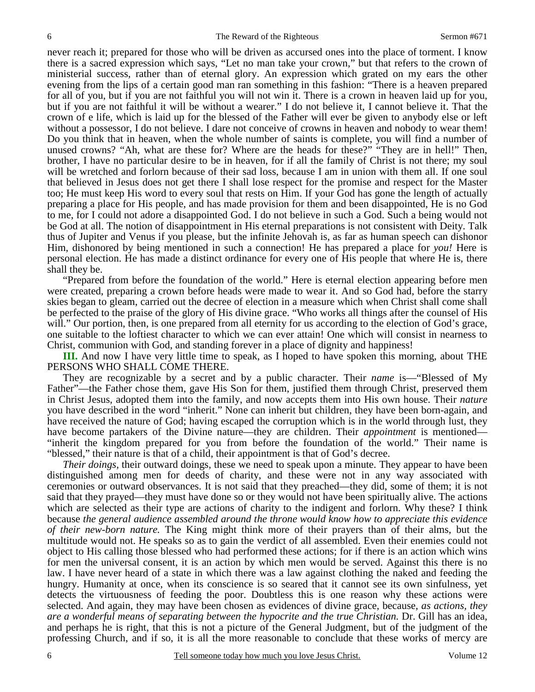never reach it; prepared for those who will be driven as accursed ones into the place of torment. I know there is a sacred expression which says, "Let no man take your crown," but that refers to the crown of ministerial success, rather than of eternal glory. An expression which grated on my ears the other evening from the lips of a certain good man ran something in this fashion: "There is a heaven prepared for all of you, but if you are not faithful you will not win it. There is a crown in heaven laid up for you, but if you are not faithful it will be without a wearer." I do not believe it, I cannot believe it. That the crown of e life, which is laid up for the blessed of the Father will ever be given to anybody else or left without a possessor, I do not believe. I dare not conceive of crowns in heaven and nobody to wear them! Do you think that in heaven, when the whole number of saints is complete, you will find a number of unused crowns? "Ah, what are these for? Where are the heads for these?" "They are in hell!" Then, brother, I have no particular desire to be in heaven, for if all the family of Christ is not there; my soul will be wretched and forlorn because of their sad loss, because I am in union with them all. If one soul that believed in Jesus does not get there I shall lose respect for the promise and respect for the Master too; He must keep His word to every soul that rests on Him. If your God has gone the length of actually preparing a place for His people, and has made provision for them and been disappointed, He is no God to me, for I could not adore a disappointed God. I do not believe in such a God. Such a being would not be God at all. The notion of disappointment in His eternal preparations is not consistent with Deity. Talk thus of Jupiter and Venus if you please, but the infinite Jehovah is, as far as human speech can dishonor Him, dishonored by being mentioned in such a connection! He has prepared a place for *you!* Here is personal election. He has made a distinct ordinance for every one of His people that where He is, there shall they be.

 "Prepared from before the foundation of the world." Here is eternal election appearing before men were created, preparing a crown before heads were made to wear it. And so God had, before the starry skies began to gleam, carried out the decree of election in a measure which when Christ shall come shall be perfected to the praise of the glory of His divine grace. "Who works all things after the counsel of His will." Our portion, then, is one prepared from all eternity for us according to the election of God's grace, one suitable to the loftiest character to which we can ever attain! One which will consist in nearness to Christ, communion with God, and standing forever in a place of dignity and happiness!

**III.** And now I have very little time to speak, as I hoped to have spoken this morning, about THE PERSONS WHO SHALL COME THERE.

 They are recognizable by a secret and by a public character. Their *name* is—"Blessed of My Father"—the Father chose them, gave His Son for them, justified them through Christ, preserved them in Christ Jesus, adopted them into the family, and now accepts them into His own house. Their *nature* you have described in the word "inherit." None can inherit but children, they have been born-again, and have received the nature of God; having escaped the corruption which is in the world through lust, they have become partakers of the Divine nature—they are children. Their *appointment* is mentioned— "inherit the kingdom prepared for you from before the foundation of the world." Their name is "blessed," their nature is that of a child, their appointment is that of God's decree.

*Their doings,* their outward doings, these we need to speak upon a minute. They appear to have been distinguished among men for deeds of charity, and these were not in any way associated with ceremonies or outward observances. It is not said that they preached—they did, some of them; it is not said that they prayed—they must have done so or they would not have been spiritually alive. The actions which are selected as their type are actions of charity to the indigent and forlorn. Why these? I think because *the general audience assembled around the throne would know how to appreciate this evidence of their new-born nature.* The King might think more of their prayers than of their alms, but the multitude would not. He speaks so as to gain the verdict of all assembled. Even their enemies could not object to His calling those blessed who had performed these actions; for if there is an action which wins for men the universal consent, it is an action by which men would be served. Against this there is no law. I have never heard of a state in which there was a law against clothing the naked and feeding the hungry. Humanity at once, when its conscience is so seared that it cannot see its own sinfulness, yet detects the virtuousness of feeding the poor. Doubtless this is one reason why these actions were selected. And again, they may have been chosen as evidences of divine grace, because, *as actions, they are a wonderful means of separating between the hypocrite and the true Christian.* Dr. Gill has an idea, and perhaps he is right, that this is not a picture of the General Judgment, but of the judgment of the professing Church, and if so, it is all the more reasonable to conclude that these works of mercy are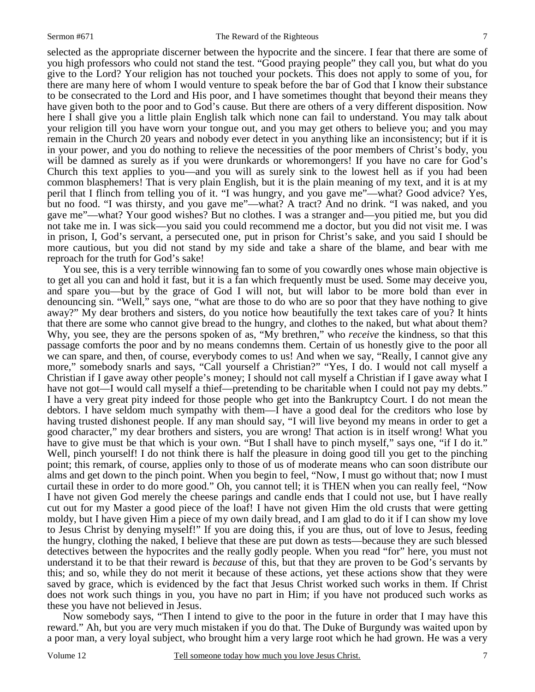selected as the appropriate discerner between the hypocrite and the sincere. I fear that there are some of you high professors who could not stand the test. "Good praying people" they call you, but what do you give to the Lord? Your religion has not touched your pockets. This does not apply to some of you, for there are many here of whom I would venture to speak before the bar of God that I know their substance to be consecrated to the Lord and His poor, and I have sometimes thought that beyond their means they have given both to the poor and to God's cause. But there are others of a very different disposition. Now here I shall give you a little plain English talk which none can fail to understand. You may talk about your religion till you have worn your tongue out, and you may get others to believe you; and you may remain in the Church 20 years and nobody ever detect in you anything like an inconsistency; but if it is in your power, and you do nothing to relieve the necessities of the poor members of Christ's body, you will be damned as surely as if you were drunkards or whoremongers! If you have no care for God's Church this text applies to you—and you will as surely sink to the lowest hell as if you had been common blasphemers! That is very plain English, but it is the plain meaning of my text, and it is at my peril that I flinch from telling you of it. "I was hungry, and you gave me"—what? Good advice? Yes, but no food. "I was thirsty, and you gave me"—what? A tract? And no drink. "I was naked, and you gave me"—what? Your good wishes? But no clothes. I was a stranger and—you pitied me, but you did not take me in. I was sick—you said you could recommend me a doctor, but you did not visit me. I was in prison, I, God's servant, a persecuted one, put in prison for Christ's sake, and you said I should be more cautious, but you did not stand by my side and take a share of the blame, and bear with me reproach for the truth for God's sake!

 You see, this is a very terrible winnowing fan to some of you cowardly ones whose main objective is to get all you can and hold it fast, but it is a fan which frequently must be used. Some may deceive you, and spare you—but by the grace of God I will not, but will labor to be more bold than ever in denouncing sin. "Well," says one, "what are those to do who are so poor that they have nothing to give away?" My dear brothers and sisters, do you notice how beautifully the text takes care of you? It hints that there are some who cannot give bread to the hungry, and clothes to the naked, but what about them? Why, you see, they are the persons spoken of as, "My brethren," who *receive* the kindness, so that this passage comforts the poor and by no means condemns them. Certain of us honestly give to the poor all we can spare, and then, of course, everybody comes to us! And when we say, "Really, I cannot give any more," somebody snarls and says, "Call yourself a Christian?" "Yes, I do. I would not call myself a Christian if I gave away other people's money; I should not call myself a Christian if I gave away what I have not got—I would call myself a thief—pretending to be charitable when I could not pay my debts." I have a very great pity indeed for those people who get into the Bankruptcy Court. I do not mean the debtors. I have seldom much sympathy with them—I have a good deal for the creditors who lose by having trusted dishonest people. If any man should say, "I will live beyond my means in order to get a good character," my dear brothers and sisters, you are wrong! That action is in itself wrong! What you have to give must be that which is your own. "But I shall have to pinch myself," says one, "if I do it." Well, pinch yourself! I do not think there is half the pleasure in doing good till you get to the pinching point; this remark, of course, applies only to those of us of moderate means who can soon distribute our alms and get down to the pinch point. When you begin to feel, "Now, I must go without that; now I must curtail these in order to do more good." Oh, you cannot tell; it is THEN when you can really feel, "Now I have not given God merely the cheese parings and candle ends that I could not use, but I have really cut out for my Master a good piece of the loaf! I have not given Him the old crusts that were getting moldy, but I have given Him a piece of my own daily bread, and I am glad to do it if I can show my love to Jesus Christ by denying myself!" If you are doing this, if you are thus, out of love to Jesus, feeding the hungry, clothing the naked, I believe that these are put down as tests—because they are such blessed detectives between the hypocrites and the really godly people. When you read "for" here, you must not understand it to be that their reward is *because* of this, but that they are proven to be God's servants by this; and so, while they do not merit it because of these actions, yet these actions show that they were saved by grace, which is evidenced by the fact that Jesus Christ worked such works in them. If Christ does not work such things in you, you have no part in Him; if you have not produced such works as these you have not believed in Jesus.

 Now somebody says, "Then I intend to give to the poor in the future in order that I may have this reward." Ah, but you are very much mistaken if you do that. The Duke of Burgundy was waited upon by a poor man, a very loyal subject, who brought him a very large root which he had grown. He was a very